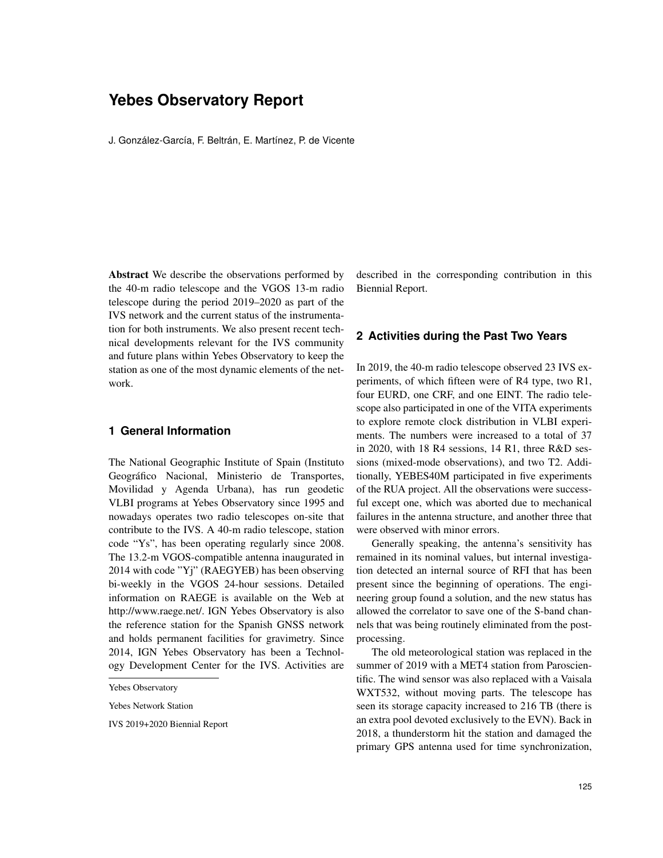# **Yebes Observatory Report**

J. González-García, F. Beltrán, E. Martínez, P. de Vicente

Abstract We describe the observations performed by the 40-m radio telescope and the VGOS 13-m radio telescope during the period 2019–2020 as part of the IVS network and the current status of the instrumentation for both instruments. We also present recent technical developments relevant for the IVS community and future plans within Yebes Observatory to keep the station as one of the most dynamic elements of the network.

# **1 General Information**

The National Geographic Institute of Spain (Instituto Geográfico Nacional, Ministerio de Transportes, Movilidad y Agenda Urbana), has run geodetic VLBI programs at Yebes Observatory since 1995 and nowadays operates two radio telescopes on-site that contribute to the IVS. A 40-m radio telescope, station code "Ys", has been operating regularly since 2008. The 13.2-m VGOS-compatible antenna inaugurated in 2014 with code "Yj" (RAEGYEB) has been observing bi-weekly in the VGOS 24-hour sessions. Detailed information on RAEGE is available on the Web at http://www.raege.net/. IGN Yebes Observatory is also the reference station for the Spanish GNSS network and holds permanent facilities for gravimetry. Since 2014, IGN Yebes Observatory has been a Technology Development Center for the IVS. Activities are

Yebes Network Station

IVS 2019+2020 Biennial Report

described in the corresponding contribution in this Biennial Report.

#### **2 Activities during the Past Two Years**

In 2019, the 40-m radio telescope observed 23 IVS experiments, of which fifteen were of R4 type, two R1, four EURD, one CRF, and one EINT. The radio telescope also participated in one of the VITA experiments to explore remote clock distribution in VLBI experiments. The numbers were increased to a total of 37 in 2020, with 18 R4 sessions, 14 R1, three R&D sessions (mixed-mode observations), and two T2. Additionally, YEBES40M participated in five experiments of the RUA project. All the observations were successful except one, which was aborted due to mechanical failures in the antenna structure, and another three that were observed with minor errors.

Generally speaking, the antenna's sensitivity has remained in its nominal values, but internal investigation detected an internal source of RFI that has been present since the beginning of operations. The engineering group found a solution, and the new status has allowed the correlator to save one of the S-band channels that was being routinely eliminated from the postprocessing.

The old meteorological station was replaced in the summer of 2019 with a MET4 station from Paroscientific. The wind sensor was also replaced with a Vaisala WXT532, without moving parts. The telescope has seen its storage capacity increased to 216 TB (there is an extra pool devoted exclusively to the EVN). Back in 2018, a thunderstorm hit the station and damaged the primary GPS antenna used for time synchronization,

Yebes Observatory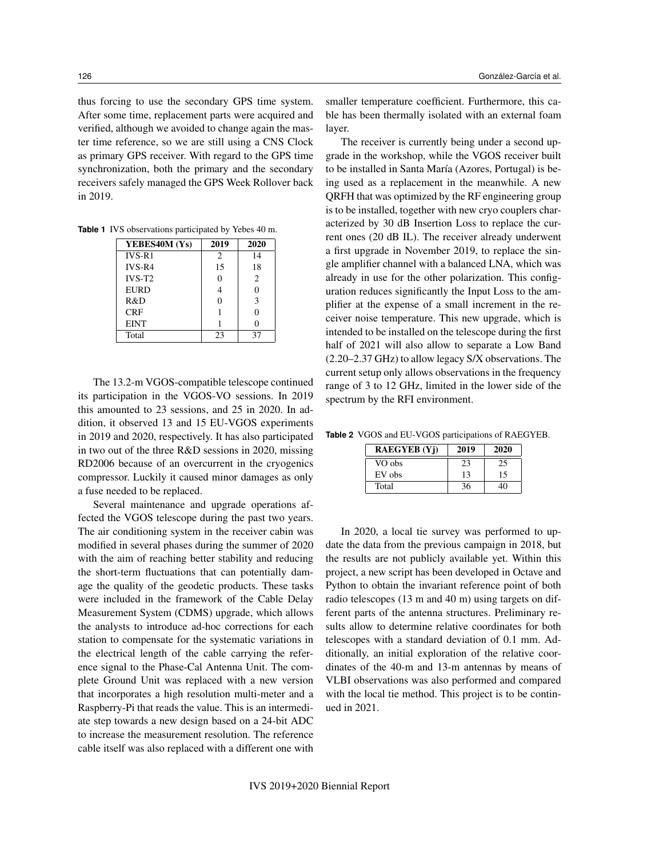thus forcing to use the secondary GPS time system. After some time, replacement parts were acquired and verified, although we avoided to change again the master time reference, so we are still using a CNS Clock as primary GPS receiver. With regard to the GPS time synchronization, both the primary and the secondary receivers safely managed the GPS Week Rollover back in 2019.

**Table 1** IVS observations participated by Yebes 40 m.

| YEBES40M (Ys) | 2019           | 2020          |
|---------------|----------------|---------------|
| $IVS-R1$      | $\overline{c}$ | 14            |
| $IVS-R4$      | 15             | 18            |
| $IVS-T2$      |                | $\mathcal{L}$ |
| <b>EURD</b>   |                | $\Omega$      |
| R&D           |                | 3             |
| CRF           |                | $\Omega$      |
| <b>EINT</b>   |                | 0             |
| Total         | 23             | 37            |

The 13.2-m VGOS-compatible telescope continued its participation in the VGOS-VO sessions. In 2019 this amounted to 23 sessions, and 25 in 2020. In addition, it observed 13 and 15 EU-VGOS experiments in 2019 and 2020, respectively. It has also participated in two out of the three R&D sessions in 2020, missing RD2006 because of an overcurrent in the cryogenics compressor. Luckily it caused minor damages as only a fuse needed to be replaced.

Several maintenance and upgrade operations affected the VGOS telescope during the past two years. The air conditioning system in the receiver cabin was modified in several phases during the summer of 2020 with the aim of reaching better stability and reducing the short-term fluctuations that can potentially damage the quality of the geodetic products. These tasks were included in the framework of the Cable Delay Measurement System (CDMS) upgrade, which allows the analysts to introduce ad-hoc corrections for each station to compensate for the systematic variations in the electrical length of the cable carrying the reference signal to the Phase-Cal Antenna Unit. The complete Ground Unit was replaced with a new version that incorporates a high resolution multi-meter and a Raspberry-Pi that reads the value. This is an intermediate step towards a new design based on a 24-bit ADC to increase the measurement resolution. The reference cable itself was also replaced with a different one with

smaller temperature coefficient. Furthermore, this cable has been thermally isolated with an external foam layer.

The receiver is currently being under a second upgrade in the workshop, while the VGOS receiver built to be installed in Santa María (Azores, Portugal) is being used as a replacement in the meanwhile. A new QRFH that was optimized by the RF engineering group is to be installed, together with new cryo couplers characterized by 30 dB Insertion Loss to replace the current ones (20 dB IL). The receiver already underwent a first upgrade in November 2019, to replace the single amplifier channel with a balanced LNA, which was already in use for the other polarization. This configuration reduces significantly the Input Loss to the amplifier at the expense of a small increment in the receiver noise temperature. This new upgrade, which is intended to be installed on the telescope during the first half of 2021 will also allow to separate a Low Band (2.20–2.37 GHz) to allow legacy S/X observations. The current setup only allows observations in the frequency range of 3 to 12 GHz, limited in the lower side of the spectrum by the RFI environment.

**Table 2** VGOS and EU-VGOS participations of RAEGYEB.

| <b>RAEGYEB</b> (Yi) | 2019 | 2020 |
|---------------------|------|------|
| VO obs              | 23   | 25   |
| EV obs              | 13   | 15   |
| Total               | 36   |      |

In 2020, a local tie survey was performed to update the data from the previous campaign in 2018, but the results are not publicly available yet. Within this project, a new script has been developed in Octave and Python to obtain the invariant reference point of both radio telescopes (13 m and 40 m) using targets on different parts of the antenna structures. Preliminary results allow to determine relative coordinates for both telescopes with a standard deviation of 0.1 mm. Additionally, an initial exploration of the relative coordinates of the 40-m and 13-m antennas by means of VLBI observations was also performed and compared with the local tie method. This project is to be continued in 2021.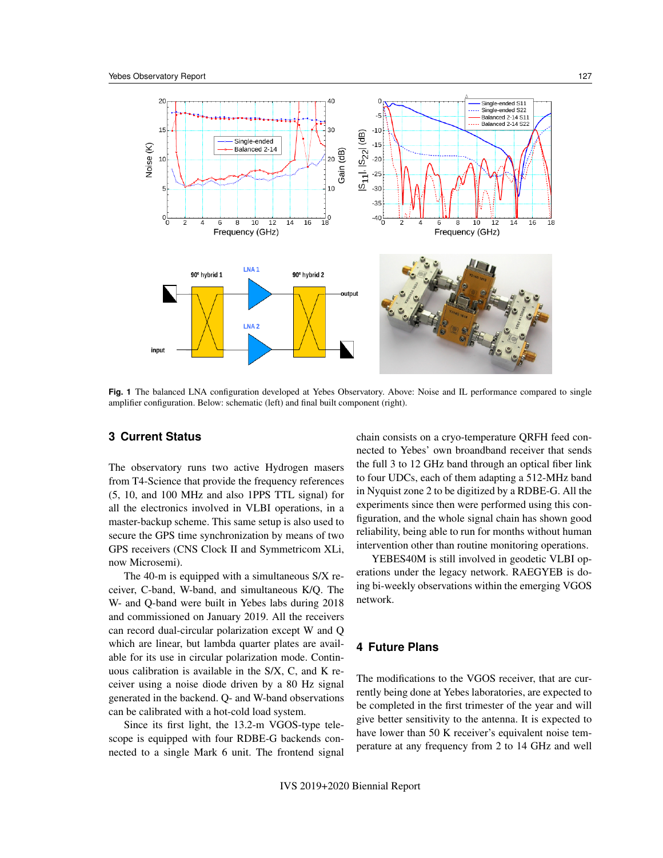

**Fig. 1** The balanced LNA configuration developed at Yebes Observatory. Above: Noise and IL performance compared to single amplifier configuration. Below: schematic (left) and final built component (right).

## **3 Current Status**

The observatory runs two active Hydrogen masers from T4-Science that provide the frequency references (5, 10, and 100 MHz and also 1PPS TTL signal) for all the electronics involved in VLBI operations, in a master-backup scheme. This same setup is also used to secure the GPS time synchronization by means of two GPS receivers (CNS Clock II and Symmetricom XLi, now Microsemi).

The 40-m is equipped with a simultaneous S/X receiver, C-band, W-band, and simultaneous K/Q. The W- and Q-band were built in Yebes labs during 2018 and commissioned on January 2019. All the receivers can record dual-circular polarization except W and Q which are linear, but lambda quarter plates are available for its use in circular polarization mode. Continuous calibration is available in the S/X, C, and K receiver using a noise diode driven by a 80 Hz signal generated in the backend. Q- and W-band observations can be calibrated with a hot-cold load system.

Since its first light, the 13.2-m VGOS-type telescope is equipped with four RDBE-G backends connected to a single Mark 6 unit. The frontend signal chain consists on a cryo-temperature QRFH feed connected to Yebes' own broandband receiver that sends the full 3 to 12 GHz band through an optical fiber link to four UDCs, each of them adapting a 512-MHz band in Nyquist zone 2 to be digitized by a RDBE-G. All the experiments since then were performed using this configuration, and the whole signal chain has shown good reliability, being able to run for months without human intervention other than routine monitoring operations.

YEBES40M is still involved in geodetic VLBI operations under the legacy network. RAEGYEB is doing bi-weekly observations within the emerging VGOS network.

# **4 Future Plans**

The modifications to the VGOS receiver, that are currently being done at Yebes laboratories, are expected to be completed in the first trimester of the year and will give better sensitivity to the antenna. It is expected to have lower than 50 K receiver's equivalent noise temperature at any frequency from 2 to 14 GHz and well